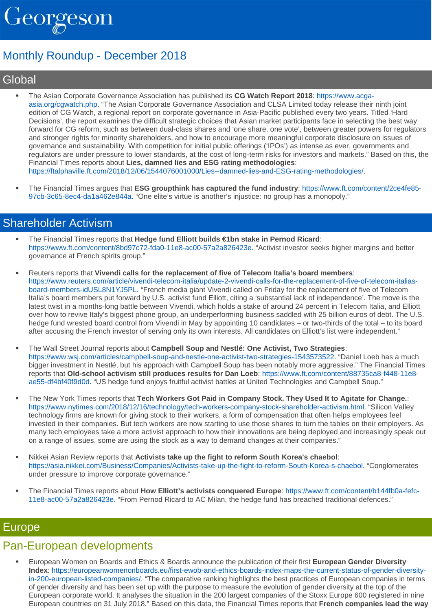

# Monthly Roundup - December 2018

# **Global**

- The Asian Corporate Governance Association has published its **CG Watch Report 2018**: [https://www.acga](https://urldefense.proofpoint.com/v2/url?u=http-3A__176231.166959.eu2.cleverreach.com_c_36885523_ba35b3d93-2Dpk3bd0&d=DwMGaQ&c=XYrWdXnqoGVNRPOyUELP3IXCOEKnVf1zLk3mv6_0vws&r=9l2TJCayvVRQJkr3FL5Wo1w0cbo31K38DHF9fr-Ke0w&m=ISh5cV_97kYiQ9ghwDx4rbw0XLNck3VkhcIxAtN00Uk&s=zooOwWxig8JmsdEbhSoAlAdG6WJ75raEEzBBgCezBHg&e=)[asia.org/cgwatch.php.](https://urldefense.proofpoint.com/v2/url?u=http-3A__176231.166959.eu2.cleverreach.com_c_36885523_ba35b3d93-2Dpk3bd0&d=DwMGaQ&c=XYrWdXnqoGVNRPOyUELP3IXCOEKnVf1zLk3mv6_0vws&r=9l2TJCayvVRQJkr3FL5Wo1w0cbo31K38DHF9fr-Ke0w&m=ISh5cV_97kYiQ9ghwDx4rbw0XLNck3VkhcIxAtN00Uk&s=zooOwWxig8JmsdEbhSoAlAdG6WJ75raEEzBBgCezBHg&e=) "The Asian Corporate Governance Association and CLSA Limited today release their ninth joint edition of CG Watch, a regional report on corporate governance in Asia-Pacific published every two years. Titled 'Hard Decisions', the report examines the difficult strategic choices that Asian market participants face in selecting the best way forward for CG reform, such as between dual-class shares and 'one share, one vote', between greater powers for regulators and stronger rights for minority shareholders, and how to encourage more meaningful corporate disclosure on issues of governance and sustainability. With competition for initial public offerings ('IPOs') as intense as ever, governments and regulators are under pressure to lower standards, at the cost of long-term risks for investors and markets." Based on this, the Financial Times reports about **Lies, damned lies and ESG rating methodologies**: [https://ftalphaville.ft.com/2018/12/06/1544076001000/Lies--damned-lies-and-ESG-rating-methodologies/.](https://urldefense.proofpoint.com/v2/url?u=http-3A__176231.166959.eu2.cleverreach.com_c_36885524_ba35b3d93-2Dpk3bd0&d=DwMGaQ&c=XYrWdXnqoGVNRPOyUELP3IXCOEKnVf1zLk3mv6_0vws&r=9l2TJCayvVRQJkr3FL5Wo1w0cbo31K38DHF9fr-Ke0w&m=ISh5cV_97kYiQ9ghwDx4rbw0XLNck3VkhcIxAtN00Uk&s=RiKwGcZ9lAk4hhzLSOHbOynUabPg-SXIyfAIUU_0iRw&e=)
- The Financial Times argues that **ESG groupthink has captured the fund industry**: [https://www.ft.com/content/2ce4fe85-](https://urldefense.proofpoint.com/v2/url?u=http-3A__176231.166959.eu2.cleverreach.com_c_36885525_ba35b3d93-2Dpk3bd0&d=DwMGaQ&c=XYrWdXnqoGVNRPOyUELP3IXCOEKnVf1zLk3mv6_0vws&r=9l2TJCayvVRQJkr3FL5Wo1w0cbo31K38DHF9fr-Ke0w&m=ISh5cV_97kYiQ9ghwDx4rbw0XLNck3VkhcIxAtN00Uk&s=DSJYopfsOTMyCwQlbVNRJIGiilFA9x2-xn0kFkvr8LE&e=) [97cb-3c65-8ec4-da1a462e844a.](https://urldefense.proofpoint.com/v2/url?u=http-3A__176231.166959.eu2.cleverreach.com_c_36885525_ba35b3d93-2Dpk3bd0&d=DwMGaQ&c=XYrWdXnqoGVNRPOyUELP3IXCOEKnVf1zLk3mv6_0vws&r=9l2TJCayvVRQJkr3FL5Wo1w0cbo31K38DHF9fr-Ke0w&m=ISh5cV_97kYiQ9ghwDx4rbw0XLNck3VkhcIxAtN00Uk&s=DSJYopfsOTMyCwQlbVNRJIGiilFA9x2-xn0kFkvr8LE&e=) "One elite's virtue is another's injustice: no group has a monopoly."

### Shareholder Activism

- The Financial Times reports that **Hedge fund Elliott builds €1bn stake in Pernod Ricard**: [https://www.ft.com/content/8bd97c72-fda0-11e8-ac00-57a2a826423e.](https://urldefense.proofpoint.com/v2/url?u=http-3A__176231.166959.eu2.cleverreach.com_c_36885526_ba35b3d93-2Dpk3bd0&d=DwMGaQ&c=XYrWdXnqoGVNRPOyUELP3IXCOEKnVf1zLk3mv6_0vws&r=9l2TJCayvVRQJkr3FL5Wo1w0cbo31K38DHF9fr-Ke0w&m=ISh5cV_97kYiQ9ghwDx4rbw0XLNck3VkhcIxAtN00Uk&s=hgnB1s1GEjEfGwE33VRlOMnCROzQi8l7-30RYO6aj6M&e=) "Activist investor seeks higher margins and better governance at French spirits group."
- Reuters reports that **Vivendi calls for the replacement of five of Telecom Italia's board members**: [https://www.reuters.com/article/vivendi-telecom-italia/update-2-vivendi-calls-for-the-replacement-of-five-of-telecom-italias](https://urldefense.proofpoint.com/v2/url?u=http-3A__176231.166959.eu2.cleverreach.com_c_36885527_ba35b3d93-2Dpk3bd0&d=DwMGaQ&c=XYrWdXnqoGVNRPOyUELP3IXCOEKnVf1zLk3mv6_0vws&r=9l2TJCayvVRQJkr3FL5Wo1w0cbo31K38DHF9fr-Ke0w&m=ISh5cV_97kYiQ9ghwDx4rbw0XLNck3VkhcIxAtN00Uk&s=mnuIWGf5Tnqw75sCxuOIkJCGUeiRCjF0arRb18rYbR0&e=)[board-members-idUSL8N1YJ5PL.](https://urldefense.proofpoint.com/v2/url?u=http-3A__176231.166959.eu2.cleverreach.com_c_36885527_ba35b3d93-2Dpk3bd0&d=DwMGaQ&c=XYrWdXnqoGVNRPOyUELP3IXCOEKnVf1zLk3mv6_0vws&r=9l2TJCayvVRQJkr3FL5Wo1w0cbo31K38DHF9fr-Ke0w&m=ISh5cV_97kYiQ9ghwDx4rbw0XLNck3VkhcIxAtN00Uk&s=mnuIWGf5Tnqw75sCxuOIkJCGUeiRCjF0arRb18rYbR0&e=) "French media giant Vivendi called on Friday for the replacement of five of Telecom Italia's board members put forward by U.S. activist fund Elliott, citing a 'substantial lack of independence'. The move is the latest twist in a months-long battle between Vivendi, which holds a stake of around 24 percent in Telecom Italia, and Elliott over how to revive Italy's biggest phone group, an underperforming business saddled with 25 billion euros of debt. The U.S. hedge fund wrested board control from Vivendi in May by appointing 10 candidates – or two-thirds of the total – to its board after accusing the French investor of serving only its own interests. All candidates on Elliott's list were independent."
- The Wall Street Journal reports about **Campbell Soup and Nestlé: One Activist, Two Strategies**: [https://www.wsj.com/articles/campbell-soup-and-nestle-one-activist-two-strategies-1543573522.](https://urldefense.proofpoint.com/v2/url?u=http-3A__176231.166959.eu2.cleverreach.com_c_36885528_ba35b3d93-2Dpk3bd0&d=DwMGaQ&c=XYrWdXnqoGVNRPOyUELP3IXCOEKnVf1zLk3mv6_0vws&r=9l2TJCayvVRQJkr3FL5Wo1w0cbo31K38DHF9fr-Ke0w&m=ISh5cV_97kYiQ9ghwDx4rbw0XLNck3VkhcIxAtN00Uk&s=G-DTU7aKe89pqJiYoy1rJ0JJBuLZArel4vqTZG-S_Aw&e=) "Daniel Loeb has a much bigger investment in Nestlé, but his approach with Campbell Soup has been notably more aggressive." The Financial Times reports that **Old-school activism still produces results for Dan Loeb**: [https://www.ft.com/content/88735ca8-f448-11e8](https://urldefense.proofpoint.com/v2/url?u=http-3A__176231.166959.eu2.cleverreach.com_c_36885529_ba35b3d93-2Dpk3bd0&d=DwMGaQ&c=XYrWdXnqoGVNRPOyUELP3IXCOEKnVf1zLk3mv6_0vws&r=9l2TJCayvVRQJkr3FL5Wo1w0cbo31K38DHF9fr-Ke0w&m=ISh5cV_97kYiQ9ghwDx4rbw0XLNck3VkhcIxAtN00Uk&s=wOh1VQ_WewtdP4dqsXA2HHLHNDWfEmsy1c4joHNH2FE&e=) [ae55-df4bf40f9d0d.](https://urldefense.proofpoint.com/v2/url?u=http-3A__176231.166959.eu2.cleverreach.com_c_36885529_ba35b3d93-2Dpk3bd0&d=DwMGaQ&c=XYrWdXnqoGVNRPOyUELP3IXCOEKnVf1zLk3mv6_0vws&r=9l2TJCayvVRQJkr3FL5Wo1w0cbo31K38DHF9fr-Ke0w&m=ISh5cV_97kYiQ9ghwDx4rbw0XLNck3VkhcIxAtN00Uk&s=wOh1VQ_WewtdP4dqsXA2HHLHNDWfEmsy1c4joHNH2FE&e=) "US hedge fund enjoys fruitful activist battles at United Technologies and Campbell Soup."
- The New York Times reports that **Tech Workers Got Paid in Company Stock. They Used It to Agitate for Change.**: [https://www.nytimes.com/2018/12/16/technology/tech-workers-company-stock-shareholder-activism.html.](https://urldefense.proofpoint.com/v2/url?u=http-3A__176231.166959.eu2.cleverreach.com_c_36885530_ba35b3d93-2Dpk3bd0&d=DwMGaQ&c=XYrWdXnqoGVNRPOyUELP3IXCOEKnVf1zLk3mv6_0vws&r=9l2TJCayvVRQJkr3FL5Wo1w0cbo31K38DHF9fr-Ke0w&m=ISh5cV_97kYiQ9ghwDx4rbw0XLNck3VkhcIxAtN00Uk&s=uHiPtbISogEFyM3O58kPRHP7vKlL6DZbTFEmJF9h3Gs&e=) "Silicon Valley technology firms are known for giving stock to their workers, a form of compensation that often helps employees feel invested in their companies. But tech workers are now starting to use those shares to turn the tables on their employers. As many tech employees take a more activist approach to how their innovations are being deployed and increasingly speak out on a range of issues, some are using the stock as a way to demand changes at their companies."
- Nikkei Asian Review reports that **Activists take up the fight to reform South Korea's chaebol**: [https://asia.nikkei.com/Business/Companies/Activists-take-up-the-fight-to-reform-South-Korea-s-chaebol.](https://urldefense.proofpoint.com/v2/url?u=http-3A__176231.166959.eu2.cleverreach.com_c_36885531_ba35b3d93-2Dpk3bd0&d=DwMGaQ&c=XYrWdXnqoGVNRPOyUELP3IXCOEKnVf1zLk3mv6_0vws&r=9l2TJCayvVRQJkr3FL5Wo1w0cbo31K38DHF9fr-Ke0w&m=ISh5cV_97kYiQ9ghwDx4rbw0XLNck3VkhcIxAtN00Uk&s=gE_l0GCwmQP2gDp4i7QrSrfGGl5X9jFPB_iXyDFwBvo&e=) "Conglomerates under pressure to improve corporate governance."
- The Financial Times reports about **How Elliott's activists conquered Europe**: [https://www.ft.com/content/b144fb0a-fefc-](https://urldefense.proofpoint.com/v2/url?u=http-3A__176231.166959.eu2.cleverreach.com_c_36885532_ba35b3d93-2Dpk3bd0&d=DwMGaQ&c=XYrWdXnqoGVNRPOyUELP3IXCOEKnVf1zLk3mv6_0vws&r=9l2TJCayvVRQJkr3FL5Wo1w0cbo31K38DHF9fr-Ke0w&m=ISh5cV_97kYiQ9ghwDx4rbw0XLNck3VkhcIxAtN00Uk&s=V6sSBCH6zhqwDZaNvBpWlOn5o6zkZpLerQzfAIbCzsM&e=)[11e8-ac00-57a2a826423e.](https://urldefense.proofpoint.com/v2/url?u=http-3A__176231.166959.eu2.cleverreach.com_c_36885532_ba35b3d93-2Dpk3bd0&d=DwMGaQ&c=XYrWdXnqoGVNRPOyUELP3IXCOEKnVf1zLk3mv6_0vws&r=9l2TJCayvVRQJkr3FL5Wo1w0cbo31K38DHF9fr-Ke0w&m=ISh5cV_97kYiQ9ghwDx4rbw0XLNck3VkhcIxAtN00Uk&s=V6sSBCH6zhqwDZaNvBpWlOn5o6zkZpLerQzfAIbCzsM&e=) "From Pernod Ricard to AC Milan, the hedge fund has breached traditional defences."

#### Europe

### Pan-European developments

 European Women on Boards and Ethics & Boards announce the publication of their first **European Gender Diversity Index**: [https://europeanwomenonboards.eu/first-ewob-and-ethics-boards-index-maps-the-current-status-of-gender-diversity](https://urldefense.proofpoint.com/v2/url?u=http-3A__176231.166959.eu2.cleverreach.com_c_36885533_ba35b3d93-2Dpk3bd0&d=DwMGaQ&c=XYrWdXnqoGVNRPOyUELP3IXCOEKnVf1zLk3mv6_0vws&r=9l2TJCayvVRQJkr3FL5Wo1w0cbo31K38DHF9fr-Ke0w&m=ISh5cV_97kYiQ9ghwDx4rbw0XLNck3VkhcIxAtN00Uk&s=CUj-ZpXgr9cVUZMsTv9oAio_qT1MeuJIjwhiGoS0zbs&e=)[in-200-european-listed-companies/.](https://urldefense.proofpoint.com/v2/url?u=http-3A__176231.166959.eu2.cleverreach.com_c_36885533_ba35b3d93-2Dpk3bd0&d=DwMGaQ&c=XYrWdXnqoGVNRPOyUELP3IXCOEKnVf1zLk3mv6_0vws&r=9l2TJCayvVRQJkr3FL5Wo1w0cbo31K38DHF9fr-Ke0w&m=ISh5cV_97kYiQ9ghwDx4rbw0XLNck3VkhcIxAtN00Uk&s=CUj-ZpXgr9cVUZMsTv9oAio_qT1MeuJIjwhiGoS0zbs&e=) "The comparative ranking highlights the best practices of European companies in terms of gender diversity and has been set up with the purpose to measure the evolution of gender diversity at the top of the European corporate world. It analyses the situation in the 200 largest companies of the Stoxx Europe 600 registered in nine European countries on 31 July 2018." Based on this data, the Financial Times reports that **French companies lead the way**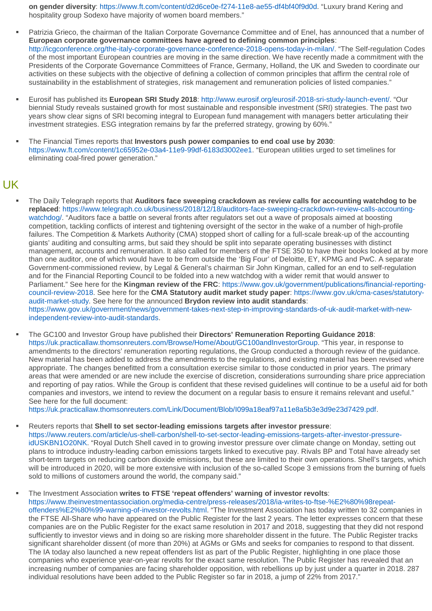**on gender diversity**: [https://www.ft.com/content/d2d6ce0e-f274-11e8-ae55-df4bf40f9d0d.](https://urldefense.proofpoint.com/v2/url?u=http-3A__176231.166959.eu2.cleverreach.com_c_36885534_ba35b3d93-2Dpk3bd0&d=DwMGaQ&c=XYrWdXnqoGVNRPOyUELP3IXCOEKnVf1zLk3mv6_0vws&r=9l2TJCayvVRQJkr3FL5Wo1w0cbo31K38DHF9fr-Ke0w&m=ISh5cV_97kYiQ9ghwDx4rbw0XLNck3VkhcIxAtN00Uk&s=cfdrHG-91HOncru_2EJCFAwgfrd4pxFrvX2As5eBh08&e=) "Luxury brand Kering and hospitality group Sodexo have majority of women board members."

- Patrizia Grieco, the chairman of the Italian Corporate Governance Committee and of Enel, has announced that a number of **European corporate governance committees have agreed to defining common principles**: [http://icgconference.org/the-italy-corporate-governance-conference-2018-opens-today-in-milan/.](https://urldefense.proofpoint.com/v2/url?u=http-3A__176231.166959.eu2.cleverreach.com_c_36885535_ba35b3d93-2Dpk3bd0&d=DwMGaQ&c=XYrWdXnqoGVNRPOyUELP3IXCOEKnVf1zLk3mv6_0vws&r=9l2TJCayvVRQJkr3FL5Wo1w0cbo31K38DHF9fr-Ke0w&m=ISh5cV_97kYiQ9ghwDx4rbw0XLNck3VkhcIxAtN00Uk&s=0bbMuIjwGVzB5dMhiEdR_2fWuly1Nt3U-aZXDRj2HF0&e=) "The Self-regulation Codes of the most important European countries are moving in the same direction. We have recently made a commitment with the Presidents of the Corporate Governance Committees of France, Germany, Holland, the UK and Sweden to coordinate our activities on these subjects with the objective of defining a collection of common principles that affirm the central role of sustainability in the establishment of strategies, risk management and remuneration policies of listed companies."
- Eurosif has published its **European SRI Study 2018**: [http://www.eurosif.org/eurosif-2018-sri-study-launch-event/.](https://urldefense.proofpoint.com/v2/url?u=http-3A__176231.166959.eu2.cleverreach.com_c_36885536_ba35b3d93-2Dpk3bd0&d=DwMGaQ&c=XYrWdXnqoGVNRPOyUELP3IXCOEKnVf1zLk3mv6_0vws&r=9l2TJCayvVRQJkr3FL5Wo1w0cbo31K38DHF9fr-Ke0w&m=ISh5cV_97kYiQ9ghwDx4rbw0XLNck3VkhcIxAtN00Uk&s=xAeh6WXC6f-qa5LTvQD6KRuMXN5mOIhIZXK5ppxJlq8&e=) "Our biennial Study reveals sustained growth for most sustainable and responsible investment (SRI) strategies. The past two years show clear signs of SRI becoming integral to European fund management with managers better articulating their investment strategies. ESG integration remains by far the preferred strategy, growing by 60%."
- The Financial Times reports that **Investors push power companies to end coal use by 2030**: [https://www.ft.com/content/1c65952e-03a4-11e9-99df-6183d3002ee1.](https://urldefense.proofpoint.com/v2/url?u=http-3A__176231.166959.eu2.cleverreach.com_c_36885537_ba35b3d93-2Dpk3bd0&d=DwMGaQ&c=XYrWdXnqoGVNRPOyUELP3IXCOEKnVf1zLk3mv6_0vws&r=9l2TJCayvVRQJkr3FL5Wo1w0cbo31K38DHF9fr-Ke0w&m=ISh5cV_97kYiQ9ghwDx4rbw0XLNck3VkhcIxAtN00Uk&s=vZjYLH-Ekxm9cwMyg0HMnKzwJ6IWRCq3ABB0Sn4AZY0&e=) "European utilities urged to set timelines for eliminating coal-fired power generation."

### UK

- The Daily Telegraph reports that **Auditors face sweeping crackdown as review calls for accounting watchdog to be replaced**: [https://www.telegraph.co.uk/business/2018/12/18/auditors-face-sweeping-crackdown-review-calls-accounting](https://urldefense.proofpoint.com/v2/url?u=http-3A__176231.166959.eu2.cleverreach.com_c_36885538_ba35b3d93-2Dpk3bd0&d=DwMGaQ&c=XYrWdXnqoGVNRPOyUELP3IXCOEKnVf1zLk3mv6_0vws&r=9l2TJCayvVRQJkr3FL5Wo1w0cbo31K38DHF9fr-Ke0w&m=ISh5cV_97kYiQ9ghwDx4rbw0XLNck3VkhcIxAtN00Uk&s=7IiXguo4YsopwWSP7jSTH0wLWfePnqEA1PvfLXXQOv4&e=)[watchdog/.](https://urldefense.proofpoint.com/v2/url?u=http-3A__176231.166959.eu2.cleverreach.com_c_36885538_ba35b3d93-2Dpk3bd0&d=DwMGaQ&c=XYrWdXnqoGVNRPOyUELP3IXCOEKnVf1zLk3mv6_0vws&r=9l2TJCayvVRQJkr3FL5Wo1w0cbo31K38DHF9fr-Ke0w&m=ISh5cV_97kYiQ9ghwDx4rbw0XLNck3VkhcIxAtN00Uk&s=7IiXguo4YsopwWSP7jSTH0wLWfePnqEA1PvfLXXQOv4&e=) "Auditors face a battle on several fronts after regulators set out a wave of proposals aimed at boosting competition, tackling conflicts of interest and tightening oversight of the sector in the wake of a number of high-profile failures. The Competition & Markets Authority (CMA) stopped short of calling for a full-scale break-up of the accounting giants' auditing and consulting arms, but said they should be split into separate operating businesses with distinct management, accounts and remuneration. It also called for members of the FTSE 350 to have their books looked at by more than one auditor, one of which would have to be from outside the 'Big Four' of Deloitte, EY, KPMG and PwC. A separate Government-commissioned review, by Legal & General's chairman Sir John Kingman, called for an end to self-regulation and for the Financial Reporting Council to be folded into a new watchdog with a wider remit that would answer to Parliament." See here for the **Kingman review of the FRC**: [https://www.gov.uk/government/publications/financial-reporting](https://urldefense.proofpoint.com/v2/url?u=http-3A__176231.166959.eu2.cleverreach.com_c_36885539_ba35b3d93-2Dpk3bd0&d=DwMGaQ&c=XYrWdXnqoGVNRPOyUELP3IXCOEKnVf1zLk3mv6_0vws&r=9l2TJCayvVRQJkr3FL5Wo1w0cbo31K38DHF9fr-Ke0w&m=ISh5cV_97kYiQ9ghwDx4rbw0XLNck3VkhcIxAtN00Uk&s=s9pP-ZxIwxn1l34P__kNz2v0GrzgW-W8_YQVKoKBa-Y&e=)[council-review-2018.](https://urldefense.proofpoint.com/v2/url?u=http-3A__176231.166959.eu2.cleverreach.com_c_36885539_ba35b3d93-2Dpk3bd0&d=DwMGaQ&c=XYrWdXnqoGVNRPOyUELP3IXCOEKnVf1zLk3mv6_0vws&r=9l2TJCayvVRQJkr3FL5Wo1w0cbo31K38DHF9fr-Ke0w&m=ISh5cV_97kYiQ9ghwDx4rbw0XLNck3VkhcIxAtN00Uk&s=s9pP-ZxIwxn1l34P__kNz2v0GrzgW-W8_YQVKoKBa-Y&e=) See here for the **CMA Statutory audit market study paper**: [https://www.gov.uk/cma-cases/statutory](https://urldefense.proofpoint.com/v2/url?u=http-3A__176231.166959.eu2.cleverreach.com_c_36885540_ba35b3d93-2Dpk3bd0&d=DwMGaQ&c=XYrWdXnqoGVNRPOyUELP3IXCOEKnVf1zLk3mv6_0vws&r=9l2TJCayvVRQJkr3FL5Wo1w0cbo31K38DHF9fr-Ke0w&m=ISh5cV_97kYiQ9ghwDx4rbw0XLNck3VkhcIxAtN00Uk&s=3oe-uBypzRfTvT83kpNWMChFTZmqVOOmoaXG1zb7pgE&e=)[audit-market-study.](https://urldefense.proofpoint.com/v2/url?u=http-3A__176231.166959.eu2.cleverreach.com_c_36885540_ba35b3d93-2Dpk3bd0&d=DwMGaQ&c=XYrWdXnqoGVNRPOyUELP3IXCOEKnVf1zLk3mv6_0vws&r=9l2TJCayvVRQJkr3FL5Wo1w0cbo31K38DHF9fr-Ke0w&m=ISh5cV_97kYiQ9ghwDx4rbw0XLNck3VkhcIxAtN00Uk&s=3oe-uBypzRfTvT83kpNWMChFTZmqVOOmoaXG1zb7pgE&e=) See here for the announced **Brydon review into audit standards**: [https://www.gov.uk/government/news/government-takes-next-step-in-improving-standards-of-uk-audit-market-with-new](https://urldefense.proofpoint.com/v2/url?u=http-3A__176231.166959.eu2.cleverreach.com_c_36885541_ba35b3d93-2Dpk3bd0&d=DwMGaQ&c=XYrWdXnqoGVNRPOyUELP3IXCOEKnVf1zLk3mv6_0vws&r=9l2TJCayvVRQJkr3FL5Wo1w0cbo31K38DHF9fr-Ke0w&m=ISh5cV_97kYiQ9ghwDx4rbw0XLNck3VkhcIxAtN00Uk&s=nMy7F7mv9yCtD1n42bi6WTXk55PucfOe2ofqI1VwUUY&e=)[independent-review-into-audit-standards.](https://urldefense.proofpoint.com/v2/url?u=http-3A__176231.166959.eu2.cleverreach.com_c_36885541_ba35b3d93-2Dpk3bd0&d=DwMGaQ&c=XYrWdXnqoGVNRPOyUELP3IXCOEKnVf1zLk3mv6_0vws&r=9l2TJCayvVRQJkr3FL5Wo1w0cbo31K38DHF9fr-Ke0w&m=ISh5cV_97kYiQ9ghwDx4rbw0XLNck3VkhcIxAtN00Uk&s=nMy7F7mv9yCtD1n42bi6WTXk55PucfOe2ofqI1VwUUY&e=)
- The GC100 and Investor Group have published their **Directors' Remuneration Reporting Guidance 2018**: [https://uk.practicallaw.thomsonreuters.com/Browse/Home/About/GC100andInvestorGroup.](https://urldefense.proofpoint.com/v2/url?u=http-3A__176231.166959.eu2.cleverreach.com_c_36885542_ba35b3d93-2Dpk3bd0&d=DwMGaQ&c=XYrWdXnqoGVNRPOyUELP3IXCOEKnVf1zLk3mv6_0vws&r=9l2TJCayvVRQJkr3FL5Wo1w0cbo31K38DHF9fr-Ke0w&m=ISh5cV_97kYiQ9ghwDx4rbw0XLNck3VkhcIxAtN00Uk&s=ESaEYDS6r0QgPoia4nNWOAXSVN_5-msF-PHx5SdopnA&e=) "This year, in response to amendments to the directors' remuneration reporting regulations, the Group conducted a thorough review of the guidance. New material has been added to address the amendments to the regulations, and existing material has been revised where appropriate. The changes benefitted from a consultation exercise similar to those conducted in prior years. The primary areas that were amended or are new include the exercise of discretion, considerations surrounding share price appreciation and reporting of pay ratios. While the Group is confident that these revised guidelines will continue to be a useful aid for both companies and investors, we intend to review the document on a regular basis to ensure it remains relevant and useful." See here for the full document:

[https://uk.practicallaw.thomsonreuters.com/Link/Document/Blob/I099a18eaf97a11e8a5b3e3d9e23d7429.pdf.](https://urldefense.proofpoint.com/v2/url?u=http-3A__176231.166959.eu2.cleverreach.com_c_36885543_ba35b3d93-2Dpk3bd0&d=DwMGaQ&c=XYrWdXnqoGVNRPOyUELP3IXCOEKnVf1zLk3mv6_0vws&r=9l2TJCayvVRQJkr3FL5Wo1w0cbo31K38DHF9fr-Ke0w&m=ISh5cV_97kYiQ9ghwDx4rbw0XLNck3VkhcIxAtN00Uk&s=HEsrVkYUhqBoDT1Hcj_LCUhAK-Kc1zCQoX4ddUQV-YA&e=)

 Reuters reports that **Shell to set sector-leading emissions targets after investor pressure**: [https://www.reuters.com/article/us-shell-carbon/shell-to-set-sector-leading-emissions-targets-after-investor-pressure](https://urldefense.proofpoint.com/v2/url?u=http-3A__176231.166959.eu2.cleverreach.com_c_36885544_ba35b3d93-2Dpk3bd0&d=DwMGaQ&c=XYrWdXnqoGVNRPOyUELP3IXCOEKnVf1zLk3mv6_0vws&r=9l2TJCayvVRQJkr3FL5Wo1w0cbo31K38DHF9fr-Ke0w&m=ISh5cV_97kYiQ9ghwDx4rbw0XLNck3VkhcIxAtN00Uk&s=fIQOMxERcjuXkxvj2eQ8_vUAjUPV90FS4nQ7mr5aAK0&e=)[idUSKBN1O20NK.](https://urldefense.proofpoint.com/v2/url?u=http-3A__176231.166959.eu2.cleverreach.com_c_36885544_ba35b3d93-2Dpk3bd0&d=DwMGaQ&c=XYrWdXnqoGVNRPOyUELP3IXCOEKnVf1zLk3mv6_0vws&r=9l2TJCayvVRQJkr3FL5Wo1w0cbo31K38DHF9fr-Ke0w&m=ISh5cV_97kYiQ9ghwDx4rbw0XLNck3VkhcIxAtN00Uk&s=fIQOMxERcjuXkxvj2eQ8_vUAjUPV90FS4nQ7mr5aAK0&e=) "Royal Dutch Shell caved in to growing investor pressure over climate change on Monday, setting out plans to introduce industry-leading carbon emissions targets linked to executive pay. Rivals BP and Total have already set short-term targets on reducing carbon dioxide emissions, but these are limited to their own operations. Shell's targets, which will be introduced in 2020, will be more extensive with inclusion of the so-called Scope 3 emissions from the burning of fuels sold to millions of customers around the world, the company said."

The Investment Association **writes to FTSE 'repeat offenders' warning of investor revolts**:

[https://www.theinvestmentassociation.org/media-centre/press-releases/2018/ia-writes-to-ftse-%E2%80%98repeat](https://urldefense.proofpoint.com/v2/url?u=http-3A__176231.166959.eu2.cleverreach.com_c_36885545_ba35b3d93-2Dpk3bd0&d=DwMGaQ&c=XYrWdXnqoGVNRPOyUELP3IXCOEKnVf1zLk3mv6_0vws&r=9l2TJCayvVRQJkr3FL5Wo1w0cbo31K38DHF9fr-Ke0w&m=ISh5cV_97kYiQ9ghwDx4rbw0XLNck3VkhcIxAtN00Uk&s=He8x1mFLh5-_O-IKk028wkIYpp5epvcqHdZHuhHo-Z4&e=)[offenders%E2%80%99-warning-of-investor-revolts.html.](https://urldefense.proofpoint.com/v2/url?u=http-3A__176231.166959.eu2.cleverreach.com_c_36885545_ba35b3d93-2Dpk3bd0&d=DwMGaQ&c=XYrWdXnqoGVNRPOyUELP3IXCOEKnVf1zLk3mv6_0vws&r=9l2TJCayvVRQJkr3FL5Wo1w0cbo31K38DHF9fr-Ke0w&m=ISh5cV_97kYiQ9ghwDx4rbw0XLNck3VkhcIxAtN00Uk&s=He8x1mFLh5-_O-IKk028wkIYpp5epvcqHdZHuhHo-Z4&e=) "The Investment Association has today written to 32 companies in the FTSE All-Share who have appeared on the Public Register for the last 2 years. The letter expresses concern that these companies are on the Public Register for the exact same resolution in 2017 and 2018, suggesting that they did not respond sufficiently to investor views and in doing so are risking more shareholder dissent in the future. The Public Register tracks significant shareholder dissent (of more than 20%) at AGMs or GMs and seeks for companies to respond to that dissent. The IA today also launched a new repeat offenders list as part of the Public Register, highlighting in one place those companies who experience year-on-year revolts for the exact same resolution. The Public Register has revealed that an increasing number of companies are facing shareholder opposition, with rebellions up by just under a quarter in 2018. 287 individual resolutions have been added to the Public Register so far in 2018, a jump of 22% from 2017."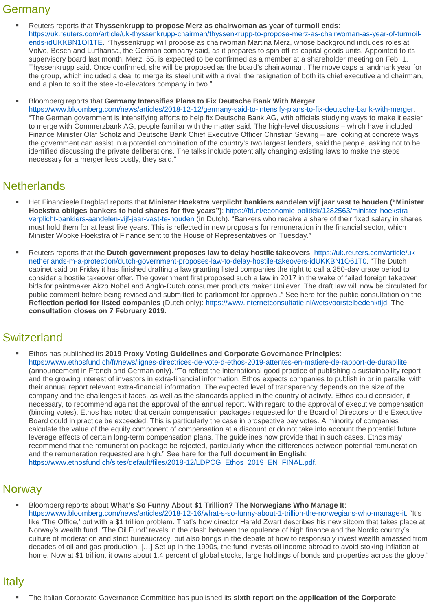## **Germany**

 Reuters reports that **Thyssenkrupp to propose Merz as chairwoman as year of turmoil ends**: [https://uk.reuters.com/article/uk-thyssenkrupp-chairman/thyssenkrupp-to-propose-merz-as-chairwoman-as-year-of-turmoil](https://urldefense.proofpoint.com/v2/url?u=http-3A__176231.166959.eu2.cleverreach.com_c_36885546_ba35b3d93-2Dpk3bd0&d=DwMGaQ&c=XYrWdXnqoGVNRPOyUELP3IXCOEKnVf1zLk3mv6_0vws&r=9l2TJCayvVRQJkr3FL5Wo1w0cbo31K38DHF9fr-Ke0w&m=ISh5cV_97kYiQ9ghwDx4rbw0XLNck3VkhcIxAtN00Uk&s=CyUO3j6bwrGjlmgP5w4EFYC4tU6nrzUwJVG2uUnbeus&e=)[ends-idUKKBN1OI1TE.](https://urldefense.proofpoint.com/v2/url?u=http-3A__176231.166959.eu2.cleverreach.com_c_36885546_ba35b3d93-2Dpk3bd0&d=DwMGaQ&c=XYrWdXnqoGVNRPOyUELP3IXCOEKnVf1zLk3mv6_0vws&r=9l2TJCayvVRQJkr3FL5Wo1w0cbo31K38DHF9fr-Ke0w&m=ISh5cV_97kYiQ9ghwDx4rbw0XLNck3VkhcIxAtN00Uk&s=CyUO3j6bwrGjlmgP5w4EFYC4tU6nrzUwJVG2uUnbeus&e=) "Thyssenkrupp will propose as chairwoman Martina Merz, whose background includes roles at Volvo, Bosch and Lufthansa, the German company said, as it prepares to spin off its capital goods units. Appointed to its supervisory board last month, Merz, 55, is expected to be confirmed as a member at a shareholder meeting on Feb. 1, Thyssenkrupp said. Once confirmed, she will be proposed as the board's chairwoman. The move caps a landmark year for the group, which included a deal to merge its steel unit with a rival, the resignation of both its chief executive and chairman, and a plan to split the steel-to-elevators company in two."

Bloomberg reports that **Germany Intensifies Plans to Fix Deutsche Bank With Merger**:

[https://www.bloomberg.com/news/articles/2018-12-12/germany-said-to-intensify-plans-to-fix-deutsche-bank-with-merger.](https://urldefense.proofpoint.com/v2/url?u=http-3A__176231.166959.eu2.cleverreach.com_c_36885547_ba35b3d93-2Dpk3bd0&d=DwMGaQ&c=XYrWdXnqoGVNRPOyUELP3IXCOEKnVf1zLk3mv6_0vws&r=9l2TJCayvVRQJkr3FL5Wo1w0cbo31K38DHF9fr-Ke0w&m=ISh5cV_97kYiQ9ghwDx4rbw0XLNck3VkhcIxAtN00Uk&s=b1xY5hp9hg453nOPwPMFVuy-TIXRwEzH88Q0gcEZVdA&e=) "The German government is intensifying efforts to help fix Deutsche Bank AG, with officials studying ways to make it easier to merge with Commerzbank AG, people familiar with the matter said. The high-level discussions – which have included Finance Minister Olaf Scholz and Deutsche Bank Chief Executive Officer Christian Sewing – are looking at concrete ways the government can assist in a potential combination of the country's two largest lenders, said the people, asking not to be identified discussing the private deliberations. The talks include potentially changing existing laws to make the steps necessary for a merger less costly, they said."

# **Netherlands**

- Het Financieele Dagblad reports that **Minister Hoekstra verplicht bankiers aandelen vijf jaar vast te houden ("Minister Hoekstra obliges bankers to hold shares for five years")**: [https://fd.nl/economie-politiek/1282563/minister-hoekstra](https://urldefense.proofpoint.com/v2/url?u=http-3A__176231.166959.eu2.cleverreach.com_c_36885548_ba35b3d93-2Dpk3bd0&d=DwMGaQ&c=XYrWdXnqoGVNRPOyUELP3IXCOEKnVf1zLk3mv6_0vws&r=9l2TJCayvVRQJkr3FL5Wo1w0cbo31K38DHF9fr-Ke0w&m=ISh5cV_97kYiQ9ghwDx4rbw0XLNck3VkhcIxAtN00Uk&s=3hiGsinsjtVpplrrQTwU3wVoqr5cuVc7LertMCNCf_0&e=)[verplicht-bankiers-aandelen-vijf-jaar-vast-te-houden](https://urldefense.proofpoint.com/v2/url?u=http-3A__176231.166959.eu2.cleverreach.com_c_36885548_ba35b3d93-2Dpk3bd0&d=DwMGaQ&c=XYrWdXnqoGVNRPOyUELP3IXCOEKnVf1zLk3mv6_0vws&r=9l2TJCayvVRQJkr3FL5Wo1w0cbo31K38DHF9fr-Ke0w&m=ISh5cV_97kYiQ9ghwDx4rbw0XLNck3VkhcIxAtN00Uk&s=3hiGsinsjtVpplrrQTwU3wVoqr5cuVc7LertMCNCf_0&e=) (in Dutch). "Bankers who receive a share of their fixed salary in shares must hold them for at least five years. This is reflected in new proposals for remuneration in the financial sector, which Minister Wopke Hoekstra of Finance sent to the House of Representatives on Tuesday."
- Reuters reports that the **Dutch government proposes law to delay hostile takeovers**: [https://uk.reuters.com/article/uk](https://urldefense.proofpoint.com/v2/url?u=http-3A__176231.166959.eu2.cleverreach.com_c_36885549_ba35b3d93-2Dpk3bd0&d=DwMGaQ&c=XYrWdXnqoGVNRPOyUELP3IXCOEKnVf1zLk3mv6_0vws&r=9l2TJCayvVRQJkr3FL5Wo1w0cbo31K38DHF9fr-Ke0w&m=ISh5cV_97kYiQ9ghwDx4rbw0XLNck3VkhcIxAtN00Uk&s=eJ9nndkvQ1U-YLMNrTlARZMnntzXFeeXbyOnsMOtGs8&e=)[netherlands-m-a-protection/dutch-government-proposes-law-to-delay-hostile-takeovers-idUKKBN1O61T0.](https://urldefense.proofpoint.com/v2/url?u=http-3A__176231.166959.eu2.cleverreach.com_c_36885549_ba35b3d93-2Dpk3bd0&d=DwMGaQ&c=XYrWdXnqoGVNRPOyUELP3IXCOEKnVf1zLk3mv6_0vws&r=9l2TJCayvVRQJkr3FL5Wo1w0cbo31K38DHF9fr-Ke0w&m=ISh5cV_97kYiQ9ghwDx4rbw0XLNck3VkhcIxAtN00Uk&s=eJ9nndkvQ1U-YLMNrTlARZMnntzXFeeXbyOnsMOtGs8&e=) "The Dutch cabinet said on Friday it has finished drafting a law granting listed companies the right to call a 250-day grace period to consider a hostile takeover offer. The government first proposed such a law in 2017 in the wake of failed foreign takeover bids for paintmaker Akzo Nobel and Anglo-Dutch consumer products maker Unilever. The draft law will now be circulated for public comment before being revised and submitted to parliament for approval." See here for the public consultation on the **Reflection period for listed companies** (Dutch only): [https://www.internetconsultatie.nl/wetsvoorstelbedenktijd.](https://urldefense.proofpoint.com/v2/url?u=http-3A__176231.166959.eu2.cleverreach.com_c_36885550_ba35b3d93-2Dpk3bd0&d=DwMGaQ&c=XYrWdXnqoGVNRPOyUELP3IXCOEKnVf1zLk3mv6_0vws&r=9l2TJCayvVRQJkr3FL5Wo1w0cbo31K38DHF9fr-Ke0w&m=ISh5cV_97kYiQ9ghwDx4rbw0XLNck3VkhcIxAtN00Uk&s=j1SFWLHsSmuad2wO6nm-bzkxHkXeg7w5psBZHouEnak&e=) **The consultation closes on 7 February 2019.**

# **Switzerland**

 Ethos has published its **2019 Proxy Voting Guidelines and Corporate Governance Principles**: [https://www.ethosfund.ch/fr/news/lignes-directrices-de-vote-d-ethos-2019-attentes-en-matiere-de-rapport-de-durabilite](https://urldefense.proofpoint.com/v2/url?u=http-3A__176231.166959.eu2.cleverreach.com_c_36885551_ba35b3d93-2Dpk3bd0&d=DwMGaQ&c=XYrWdXnqoGVNRPOyUELP3IXCOEKnVf1zLk3mv6_0vws&r=9l2TJCayvVRQJkr3FL5Wo1w0cbo31K38DHF9fr-Ke0w&m=ISh5cV_97kYiQ9ghwDx4rbw0XLNck3VkhcIxAtN00Uk&s=Xm9f6FgsMBPxiOVcYmlj2o-6EAxxbzBgGwvBj2i-rUw&e=) (announcement in French and German only). "To reflect the international good practice of publishing a sustainability report and the growing interest of investors in extra-financial information, Ethos expects companies to publish in or in parallel with their annual report relevant extra-financial information. The expected level of transparency depends on the size of the company and the challenges it faces, as well as the standards applied in the country of activity. Ethos could consider, if necessary, to recommend against the approval of the annual report. With regard to the approval of executive compensation (binding votes), Ethos has noted that certain compensation packages requested for the Board of Directors or the Executive Board could in practice be exceeded. This is particularly the case in prospective pay votes. A minority of companies calculate the value of the equity component of compensation at a discount or do not take into account the potential future leverage effects of certain long-term compensation plans. The guidelines now provide that in such cases, Ethos may recommend that the remuneration package be rejected, particularly when the differences between potential remuneration and the remuneration requested are high." See here for the **full document in English**: [https://www.ethosfund.ch/sites/default/files/2018-12/LDPCG\\_Ethos\\_2019\\_EN\\_FINAL.pdf.](https://urldefense.proofpoint.com/v2/url?u=http-3A__176231.166959.eu2.cleverreach.com_c_36885552_ba35b3d93-2Dpk3bd0&d=DwMGaQ&c=XYrWdXnqoGVNRPOyUELP3IXCOEKnVf1zLk3mv6_0vws&r=9l2TJCayvVRQJkr3FL5Wo1w0cbo31K38DHF9fr-Ke0w&m=ISh5cV_97kYiQ9ghwDx4rbw0XLNck3VkhcIxAtN00Uk&s=nh4jdS67gQrdaGH8IUC3vNvSblcsjNABvFDO8YW5N5A&e=)

# **Norway**

 Bloomberg reports about **What's So Funny About \$1 Trillion? The Norwegians Who Manage It**: [https://www.bloomberg.com/news/articles/2018-12-16/what-s-so-funny-about-1-trillion-the-norwegians-who-manage-it.](https://urldefense.proofpoint.com/v2/url?u=http-3A__176231.166959.eu2.cleverreach.com_c_36885553_ba35b3d93-2Dpk3bd0&d=DwMGaQ&c=XYrWdXnqoGVNRPOyUELP3IXCOEKnVf1zLk3mv6_0vws&r=9l2TJCayvVRQJkr3FL5Wo1w0cbo31K38DHF9fr-Ke0w&m=ISh5cV_97kYiQ9ghwDx4rbw0XLNck3VkhcIxAtN00Uk&s=5fhj5btejfAtae-LarQ4vj7K0CU45icXjZYBVQVcCz4&e=) "It's like 'The Office,' but with a \$1 trillion problem. That's how director Harald Zwart describes his new sitcom that takes place at Norway's wealth fund. 'The Oil Fund' revels in the clash between the opulence of high finance and the Nordic country's culture of moderation and strict bureaucracy, but also brings in the debate of how to responsibly invest wealth amassed from decades of oil and gas production. […] Set up in the 1990s, the fund invests oil income abroad to avoid stoking inflation at home. Now at \$1 trillion, it owns about 1.4 percent of global stocks, large holdings of bonds and properties across the globe."

# Italy

The Italian Corporate Governance Committee has published its **sixth report on the application of the Corporate**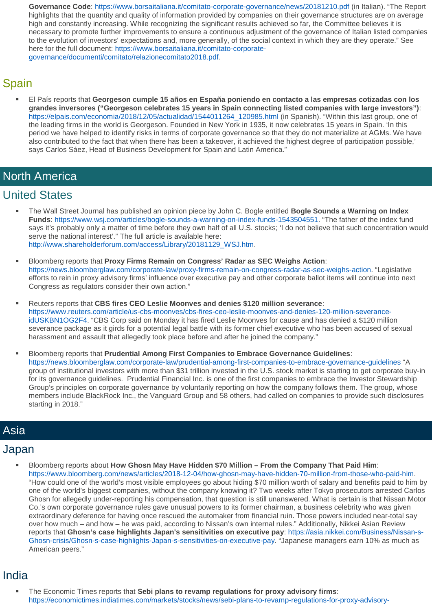**Governance Code**: [https://www.borsaitaliana.it/comitato-corporate-governance/news/20181210.pdf](https://urldefense.proofpoint.com/v2/url?u=http-3A__176231.166959.eu2.cleverreach.com_c_36885554_ba35b3d93-2Dpk3bd0&d=DwMGaQ&c=XYrWdXnqoGVNRPOyUELP3IXCOEKnVf1zLk3mv6_0vws&r=9l2TJCayvVRQJkr3FL5Wo1w0cbo31K38DHF9fr-Ke0w&m=ISh5cV_97kYiQ9ghwDx4rbw0XLNck3VkhcIxAtN00Uk&s=DEK_PRpogREGyuR-lsHdflzyIgFpkNAv5i9J8Bb1pHM&e=) (in Italian). "The Report highlights that the quantity and quality of information provided by companies on their governance structures are on average high and constantly increasing. While recognizing the significant results achieved so far, the Committee believes it is necessary to promote further improvements to ensure a continuous adjustment of the governance of Italian listed companies to the evolution of investors' expectations and, more generally, of the social context in which they are they operate." See here for the full document: [https://www.borsaitaliana.it/comitato-corporate](https://urldefense.proofpoint.com/v2/url?u=http-3A__176231.166959.eu2.cleverreach.com_c_36885555_ba35b3d93-2Dpk3bd0&d=DwMGaQ&c=XYrWdXnqoGVNRPOyUELP3IXCOEKnVf1zLk3mv6_0vws&r=9l2TJCayvVRQJkr3FL5Wo1w0cbo31K38DHF9fr-Ke0w&m=ISh5cV_97kYiQ9ghwDx4rbw0XLNck3VkhcIxAtN00Uk&s=OeUaST3fBKgp2Nt4_welkkGesxTZ4oVPJxu1l4ZMKL0&e=)[governance/documenti/comitato/relazionecomitato2018.pdf.](https://urldefense.proofpoint.com/v2/url?u=http-3A__176231.166959.eu2.cleverreach.com_c_36885555_ba35b3d93-2Dpk3bd0&d=DwMGaQ&c=XYrWdXnqoGVNRPOyUELP3IXCOEKnVf1zLk3mv6_0vws&r=9l2TJCayvVRQJkr3FL5Wo1w0cbo31K38DHF9fr-Ke0w&m=ISh5cV_97kYiQ9ghwDx4rbw0XLNck3VkhcIxAtN00Uk&s=OeUaST3fBKgp2Nt4_welkkGesxTZ4oVPJxu1l4ZMKL0&e=)

# Spain

 El País reports that **Georgeson cumple 15 años en España poniendo en contacto a las empresas cotizadas con los grandes inversores ("Georgeson celebrates 15 years in Spain connecting listed companies with large investors")**: [https://elpais.com/economia/2018/12/05/actualidad/1544011264\\_120985.html](https://urldefense.proofpoint.com/v2/url?u=http-3A__176231.166959.eu2.cleverreach.com_c_36885556_ba35b3d93-2Dpk3bd0&d=DwMGaQ&c=XYrWdXnqoGVNRPOyUELP3IXCOEKnVf1zLk3mv6_0vws&r=9l2TJCayvVRQJkr3FL5Wo1w0cbo31K38DHF9fr-Ke0w&m=ISh5cV_97kYiQ9ghwDx4rbw0XLNck3VkhcIxAtN00Uk&s=pPziua44Y6-ReWrm6DIH5U4BLrVff3rsUVrpnf5sVQM&e=) (in Spanish). "Within this last group, one of the leading firms in the world is Georgeson. Founded in New York in 1935, it now celebrates 15 years in Spain. 'In this period we have helped to identify risks in terms of corporate governance so that they do not materialize at AGMs. We have also contributed to the fact that when there has been a takeover, it achieved the highest degree of participation possible,' says Carlos Sáez, Head of Business Development for Spain and Latin America."

## North America

## United States

- The Wall Street Journal has published an opinion piece by John C. Bogle entitled **Bogle Sounds a Warning on Index Funds**: [https://www.wsj.com/articles/bogle-sounds-a-warning-on-index-funds-1543504551.](https://urldefense.proofpoint.com/v2/url?u=http-3A__176231.166959.eu2.cleverreach.com_c_36885557_ba35b3d93-2Dpk3bd0&d=DwMGaQ&c=XYrWdXnqoGVNRPOyUELP3IXCOEKnVf1zLk3mv6_0vws&r=9l2TJCayvVRQJkr3FL5Wo1w0cbo31K38DHF9fr-Ke0w&m=ISh5cV_97kYiQ9ghwDx4rbw0XLNck3VkhcIxAtN00Uk&s=KN-Q-6uhST4kwiiRsD6iu1lYuSy8_yWq0ocl9GNkypg&e=) "The father of the index fund says it's probably only a matter of time before they own half of all U.S. stocks; 'I do not believe that such concentration would serve the national interest'." The full article is available here: [http://www.shareholderforum.com/access/Library/20181129\\_WSJ.htm.](https://urldefense.proofpoint.com/v2/url?u=http-3A__176231.166959.eu2.cleverreach.com_c_36885558_ba35b3d93-2Dpk3bd0&d=DwMGaQ&c=XYrWdXnqoGVNRPOyUELP3IXCOEKnVf1zLk3mv6_0vws&r=9l2TJCayvVRQJkr3FL5Wo1w0cbo31K38DHF9fr-Ke0w&m=ISh5cV_97kYiQ9ghwDx4rbw0XLNck3VkhcIxAtN00Uk&s=0c-sczk3L9WLtmFvCuuTfkhuYktu3ylooLP3HpLNEaY&e=)
- Bloomberg reports that **Proxy Firms Remain on Congress' Radar as SEC Weighs Action**: [https://news.bloomberglaw.com/corporate-law/proxy-firms-remain-on-congress-radar-as-sec-weighs-action.](https://urldefense.proofpoint.com/v2/url?u=http-3A__176231.166959.eu2.cleverreach.com_c_36885559_ba35b3d93-2Dpk3bd0&d=DwMGaQ&c=XYrWdXnqoGVNRPOyUELP3IXCOEKnVf1zLk3mv6_0vws&r=9l2TJCayvVRQJkr3FL5Wo1w0cbo31K38DHF9fr-Ke0w&m=ISh5cV_97kYiQ9ghwDx4rbw0XLNck3VkhcIxAtN00Uk&s=Kl1Rl8bBjXFyns49cKKUJ6nJ8yUjfKRgjHup3B88_AU&e=) "Legislative efforts to rein in proxy advisory firms' influence over executive pay and other corporate ballot items will continue into next Congress as regulators consider their own action."
- Reuters reports that **CBS fires CEO Leslie Moonves and denies \$120 million severance**: [https://www.reuters.com/article/us-cbs-moonves/cbs-fires-ceo-leslie-moonves-and-denies-120-million-severance](https://urldefense.proofpoint.com/v2/url?u=http-3A__176231.166959.eu2.cleverreach.com_c_36885560_ba35b3d93-2Dpk3bd0&d=DwMGaQ&c=XYrWdXnqoGVNRPOyUELP3IXCOEKnVf1zLk3mv6_0vws&r=9l2TJCayvVRQJkr3FL5Wo1w0cbo31K38DHF9fr-Ke0w&m=ISh5cV_97kYiQ9ghwDx4rbw0XLNck3VkhcIxAtN00Uk&s=gErqQyXPmb7tWkOL8PF3xSNPXY1Q34N_cAE179ReKPo&e=)[idUSKBN1OG2F4.](https://urldefense.proofpoint.com/v2/url?u=http-3A__176231.166959.eu2.cleverreach.com_c_36885560_ba35b3d93-2Dpk3bd0&d=DwMGaQ&c=XYrWdXnqoGVNRPOyUELP3IXCOEKnVf1zLk3mv6_0vws&r=9l2TJCayvVRQJkr3FL5Wo1w0cbo31K38DHF9fr-Ke0w&m=ISh5cV_97kYiQ9ghwDx4rbw0XLNck3VkhcIxAtN00Uk&s=gErqQyXPmb7tWkOL8PF3xSNPXY1Q34N_cAE179ReKPo&e=) "CBS Corp said on Monday it has fired Leslie Moonves for cause and has denied a \$120 million severance package as it girds for a potential legal battle with its former chief executive who has been accused of sexual harassment and assault that allegedly took place before and after he joined the company."
- Bloomberg reports that **Prudential Among First Companies to Embrace Governance Guidelines**: [https://news.bloomberglaw.com/corporate-law/prudential-among-first-companies-to-embrace-governance-guidelines](https://urldefense.proofpoint.com/v2/url?u=http-3A__176231.166959.eu2.cleverreach.com_c_36885561_ba35b3d93-2Dpk3bd0&d=DwMGaQ&c=XYrWdXnqoGVNRPOyUELP3IXCOEKnVf1zLk3mv6_0vws&r=9l2TJCayvVRQJkr3FL5Wo1w0cbo31K38DHF9fr-Ke0w&m=ISh5cV_97kYiQ9ghwDx4rbw0XLNck3VkhcIxAtN00Uk&s=pk6U5v0l9pepFT-j_Asd0gd6PKIqYjuB41dAvZ1S-yc&e=) "A group of institutional investors with more than \$31 trillion invested in the U.S. stock market is starting to get corporate buy-in for its governance guidelines. Prudential Financial Inc. is one of the first companies to embrace the Investor Stewardship Group's principles on corporate governance by voluntarily reporting on how the company follows them. The group, whose members include BlackRock Inc., the Vanguard Group and 58 others, had called on companies to provide such disclosures starting in 2018."

#### Asia

#### Japan

 Bloomberg reports about **How Ghosn May Have Hidden \$70 Million – From the Company That Paid Him**: [https://www.bloomberg.com/news/articles/2018-12-04/how-ghosn-may-have-hidden-70-million-from-those-who-paid-him.](https://urldefense.proofpoint.com/v2/url?u=http-3A__176231.166959.eu2.cleverreach.com_c_36885562_ba35b3d93-2Dpk3bd0&d=DwMGaQ&c=XYrWdXnqoGVNRPOyUELP3IXCOEKnVf1zLk3mv6_0vws&r=9l2TJCayvVRQJkr3FL5Wo1w0cbo31K38DHF9fr-Ke0w&m=ISh5cV_97kYiQ9ghwDx4rbw0XLNck3VkhcIxAtN00Uk&s=WWUC5a9VX8q47y1k1Xb1kjuSPpJ7LIJsb82qn1pK09o&e=) "How could one of the world's most visible employees go about hiding \$70 million worth of salary and benefits paid to him by one of the world's biggest companies, without the company knowing it? Two weeks after Tokyo prosecutors arrested Carlos Ghosn for allegedly under-reporting his compensation, that question is still unanswered. What is certain is that Nissan Motor Co.'s own corporate governance rules gave unusual powers to its former chairman, a business celebrity who was given extraordinary deference for having once rescued the automaker from financial ruin. Those powers included near-total say over how much – and how – he was paid, according to Nissan's own internal rules." Additionally, Nikkei Asian Review reports that **Ghosn's case highlights Japan's sensitivities on executive pay**: [https://asia.nikkei.com/Business/Nissan-s-](https://urldefense.proofpoint.com/v2/url?u=http-3A__176231.166959.eu2.cleverreach.com_c_36885563_ba35b3d93-2Dpk3bd0&d=DwMGaQ&c=XYrWdXnqoGVNRPOyUELP3IXCOEKnVf1zLk3mv6_0vws&r=9l2TJCayvVRQJkr3FL5Wo1w0cbo31K38DHF9fr-Ke0w&m=ISh5cV_97kYiQ9ghwDx4rbw0XLNck3VkhcIxAtN00Uk&s=EAJqed-nrOEnVDaSiFfcZIpcukM6yw7eY7KJMteE1ok&e=)[Ghosn-crisis/Ghosn-s-case-highlights-Japan-s-sensitivities-on-executive-pay.](https://urldefense.proofpoint.com/v2/url?u=http-3A__176231.166959.eu2.cleverreach.com_c_36885563_ba35b3d93-2Dpk3bd0&d=DwMGaQ&c=XYrWdXnqoGVNRPOyUELP3IXCOEKnVf1zLk3mv6_0vws&r=9l2TJCayvVRQJkr3FL5Wo1w0cbo31K38DHF9fr-Ke0w&m=ISh5cV_97kYiQ9ghwDx4rbw0XLNck3VkhcIxAtN00Uk&s=EAJqed-nrOEnVDaSiFfcZIpcukM6yw7eY7KJMteE1ok&e=) "Japanese managers earn 10% as much as American peers."

### India

 The Economic Times reports that **Sebi plans to revamp regulations for proxy advisory firms**: [https://economictimes.indiatimes.com/markets/stocks/news/sebi-plans-to-revamp-regulations-for-proxy-advisory-](https://urldefense.proofpoint.com/v2/url?u=http-3A__176231.166959.eu2.cleverreach.com_c_36885564_ba35b3d93-2Dpk3bd0&d=DwMGaQ&c=XYrWdXnqoGVNRPOyUELP3IXCOEKnVf1zLk3mv6_0vws&r=9l2TJCayvVRQJkr3FL5Wo1w0cbo31K38DHF9fr-Ke0w&m=ISh5cV_97kYiQ9ghwDx4rbw0XLNck3VkhcIxAtN00Uk&s=G2YQfH-OSfClq6PorRVikaKfLuzI-t2RzfWNu-6z38E&e=)